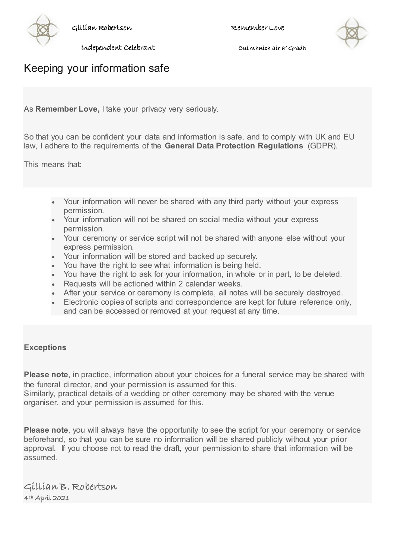

Gillian Robertson Remember Love



Independent Celebrant Cuimhnich air a' Gradh

## Keeping your information safe

As **Remember Love,** I take your privacy very seriously.

So that you can be confident your data and information is safe, and to comply with UK and EU law, I adhere to the requirements of the **General Data Protection Regulations** (GDPR).

This means that:

- Your information will never be shared with any third party without your express permission.
- Your information will not be shared on social media without your express permission.
- Your ceremony or service script will not be shared with anyone else without your express permission.
- Your information will be stored and backed up securely.
- You have the right to see what information is being held.
- You have the right to ask for your information, in whole or in part, to be deleted.
- Requests will be actioned within 2 calendar weeks.
- After your service or ceremony is complete, all notes will be securely destroyed.
- Electronic copies of scripts and correspondence are kept for future reference only, and can be accessed or removed at your request at any time.

## **Exceptions**

**Please note**, in practice, information about your choices for a funeral service may be shared with the funeral director, and your permission is assumed for this.

Similarly, practical details of a wedding or other ceremony may be shared with the venue organiser, and your permission is assumed for this.

**Please note**, you will always have the opportunity to see the script for your ceremony or service beforehand, so that you can be sure no information will be shared publicly without your prior approval. If you choose not to read the draft, your permission to share that information will be assumed.

## Gillian B. Robertson 4th April 2021